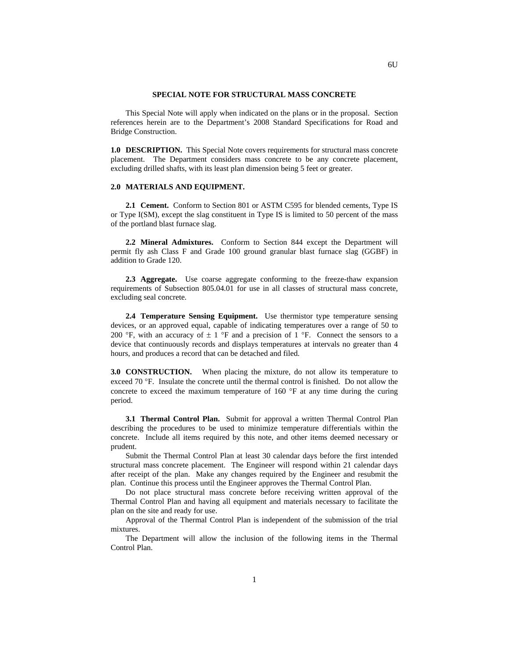## **SPECIAL NOTE FOR STRUCTURAL MASS CONCRETE**

This Special Note will apply when indicated on the plans or in the proposal. Section references herein are to the Department's 2008 Standard Specifications for Road and Bridge Construction.

**1.0 DESCRIPTION.** This Special Note covers requirements for structural mass concrete placement. The Department considers mass concrete to be any concrete placement, excluding drilled shafts, with its least plan dimension being 5 feet or greater.

## **2.0 MATERIALS AND EQUIPMENT.**

**2.1 Cement.** Conform to Section 801 or ASTM C595 for blended cements, Type IS or Type I(SM), except the slag constituent in Type IS is limited to 50 percent of the mass of the portland blast furnace slag.

**2.2 Mineral Admixtures.** Conform to Section 844 except the Department will permit fly ash Class F and Grade 100 ground granular blast furnace slag (GGBF) in addition to Grade 120.

**2.3 Aggregate.** Use coarse aggregate conforming to the freeze-thaw expansion requirements of Subsection 805.04.01 for use in all classes of structural mass concrete, excluding seal concrete.

**2.4 Temperature Sensing Equipment.** Use thermistor type temperature sensing devices, or an approved equal, capable of indicating temperatures over a range of 50 to 200 °F, with an accuracy of  $\pm 1$  °F and a precision of 1 °F. Connect the sensors to a device that continuously records and displays temperatures at intervals no greater than 4 hours, and produces a record that can be detached and filed.

**3.0 CONSTRUCTION.** When placing the mixture, do not allow its temperature to exceed 70 °F. Insulate the concrete until the thermal control is finished. Do not allow the concrete to exceed the maximum temperature of 160  $\degree$ F at any time during the curing period.

**3.1 Thermal Control Plan.** Submit for approval a written Thermal Control Plan describing the procedures to be used to minimize temperature differentials within the concrete. Include all items required by this note, and other items deemed necessary or prudent.

Submit the Thermal Control Plan at least 30 calendar days before the first intended structural mass concrete placement. The Engineer will respond within 21 calendar days after receipt of the plan. Make any changes required by the Engineer and resubmit the plan. Continue this process until the Engineer approves the Thermal Control Plan.

Do not place structural mass concrete before receiving written approval of the Thermal Control Plan and having all equipment and materials necessary to facilitate the plan on the site and ready for use.

Approval of the Thermal Control Plan is independent of the submission of the trial mixtures.

The Department will allow the inclusion of the following items in the Thermal Control Plan.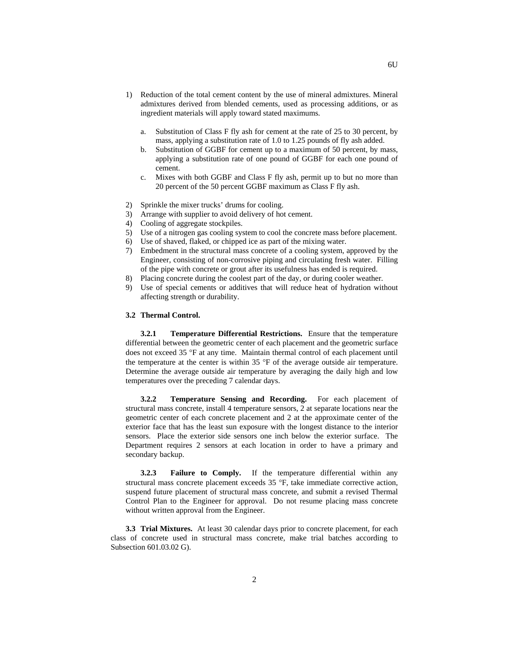- 1) Reduction of the total cement content by the use of mineral admixtures. Mineral admixtures derived from blended cements, used as processing additions, or as ingredient materials will apply toward stated maximums.
	- a. Substitution of Class F fly ash for cement at the rate of 25 to 30 percent, by mass, applying a substitution rate of 1.0 to 1.25 pounds of fly ash added.
	- b. Substitution of GGBF for cement up to a maximum of 50 percent, by mass, applying a substitution rate of one pound of GGBF for each one pound of cement.
	- c. Mixes with both GGBF and Class F fly ash, permit up to but no more than 20 percent of the 50 percent GGBF maximum as Class F fly ash.
- 2) Sprinkle the mixer trucks' drums for cooling.
- 3) Arrange with supplier to avoid delivery of hot cement.
- 4) Cooling of aggregate stockpiles.
- 5) Use of a nitrogen gas cooling system to cool the concrete mass before placement.
- 6) Use of shaved, flaked, or chipped ice as part of the mixing water.
- 7) Embedment in the structural mass concrete of a cooling system, approved by the Engineer, consisting of non-corrosive piping and circulating fresh water. Filling of the pipe with concrete or grout after its usefulness has ended is required.
- 8) Placing concrete during the coolest part of the day, or during cooler weather.
- 9) Use of special cements or additives that will reduce heat of hydration without affecting strength or durability.

## **3.2 Thermal Control.**

**3.2.1 Temperature Differential Restrictions.** Ensure that the temperature differential between the geometric center of each placement and the geometric surface does not exceed 35 °F at any time. Maintain thermal control of each placement until the temperature at the center is within 35 °F of the average outside air temperature. Determine the average outside air temperature by averaging the daily high and low temperatures over the preceding 7 calendar days.

**3.2.2 Temperature Sensing and Recording.** For each placement of structural mass concrete, install 4 temperature sensors, 2 at separate locations near the geometric center of each concrete placement and 2 at the approximate center of the exterior face that has the least sun exposure with the longest distance to the interior sensors. Place the exterior side sensors one inch below the exterior surface. The Department requires 2 sensors at each location in order to have a primary and secondary backup.

**3.2.3 Failure to Comply.** If the temperature differential within any structural mass concrete placement exceeds 35 °F, take immediate corrective action, suspend future placement of structural mass concrete, and submit a revised Thermal Control Plan to the Engineer for approval. Do not resume placing mass concrete without written approval from the Engineer.

**3.3 Trial Mixtures.** At least 30 calendar days prior to concrete placement, for each class of concrete used in structural mass concrete, make trial batches according to Subsection 601.03.02 G).